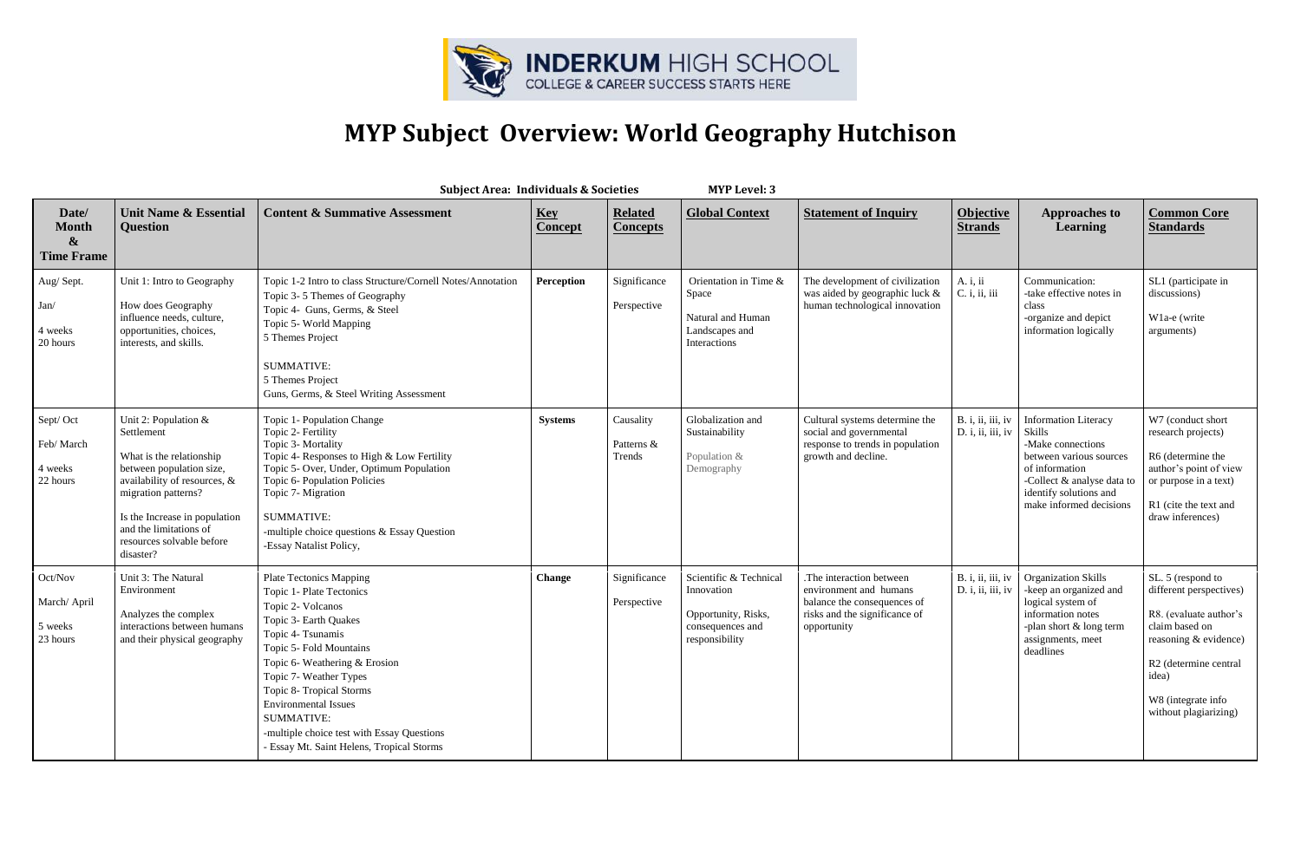

## **MYP Subject Overview: World Geography Hutchison**

| <b>MYP Level: 3</b><br><b>Subject Area: Individuals &amp; Societies</b> |                                                                                                                                                                                                                                                          |                                                                                                                                                                                                                                                                                                                                                                                                |                              |                                   |                                                                                                   |                                                                                                                                   |                                        |                                                                                                                                                                                            |                                                                                                                                                                                                    |  |  |
|-------------------------------------------------------------------------|----------------------------------------------------------------------------------------------------------------------------------------------------------------------------------------------------------------------------------------------------------|------------------------------------------------------------------------------------------------------------------------------------------------------------------------------------------------------------------------------------------------------------------------------------------------------------------------------------------------------------------------------------------------|------------------------------|-----------------------------------|---------------------------------------------------------------------------------------------------|-----------------------------------------------------------------------------------------------------------------------------------|----------------------------------------|--------------------------------------------------------------------------------------------------------------------------------------------------------------------------------------------|----------------------------------------------------------------------------------------------------------------------------------------------------------------------------------------------------|--|--|
| Date/<br><b>Month</b><br>$\boldsymbol{\&}$<br><b>Time Frame</b>         | <b>Unit Name &amp; Essential</b><br><b>Question</b>                                                                                                                                                                                                      | <b>Content &amp; Summative Assessment</b>                                                                                                                                                                                                                                                                                                                                                      | <b>Key</b><br><b>Concept</b> | <b>Related</b><br><b>Concepts</b> | <b>Global Context</b>                                                                             | <b>Statement of Inquiry</b>                                                                                                       | <b>Objective</b><br><b>Strands</b>     | <b>Approaches to</b><br><b>Learning</b>                                                                                                                                                    | <b>Common Core</b><br><b>Standards</b>                                                                                                                                                             |  |  |
| Aug/Sept.<br>Jan/<br>4 weeks<br>20 hours                                | Unit 1: Intro to Geography<br>How does Geography<br>influence needs, culture,<br>opportunities, choices,<br>interests, and skills.                                                                                                                       | Topic 1-2 Intro to class Structure/Cornell Notes/Annotation<br>Topic 3-5 Themes of Geography<br>Topic 4- Guns, Germs, & Steel<br>Topic 5- World Mapping<br>5 Themes Project<br><b>SUMMATIVE:</b><br>5 Themes Project<br>Guns, Germs, & Steel Writing Assessment                                                                                                                                | Perception                   | Significance<br>Perspective       | Orientation in Time &<br>Space<br>Natural and Human<br>Landscapes and<br>Interactions             | The development of civilization<br>was aided by geographic luck &<br>human technological innovation                               | A. i, ii<br>C. i, ii, iii              | Communication:<br>-take effective notes in<br>class<br>-organize and depict<br>information logically                                                                                       | SL1 (participate in<br>discussions)<br>W <sub>1</sub> a-e (write<br>arguments)                                                                                                                     |  |  |
| Sept/Oct<br>Feb/March<br>4 weeks<br>22 hours                            | Unit 2: Population $&$<br>Settlement<br>What is the relationship<br>between population size,<br>availability of resources, &<br>migration patterns?<br>Is the Increase in population<br>and the limitations of<br>resources solvable before<br>disaster? | Topic 1- Population Change<br>Topic 2- Fertility<br>Topic 3- Mortality<br>Topic 4- Responses to High & Low Fertility<br>Topic 5- Over, Under, Optimum Population<br>Topic 6- Population Policies<br>Topic 7- Migration<br><b>SUMMATIVE:</b><br>-multiple choice questions & Essay Question<br>-Essay Natalist Policy,                                                                          | <b>Systems</b>               | Causality<br>Patterns &<br>Trends | Globalization and<br>Sustainability<br>Population &<br>Demography                                 | Cultural systems determine the<br>social and governmental<br>response to trends in population<br>growth and decline.              | B. i, ii, iii, iv<br>D. i, ii, iii, iv | <b>Information Literacy</b><br>Skills<br>-Make connections<br>between various sources<br>of information<br>-Collect & analyse data to<br>identify solutions and<br>make informed decisions | W7 (conduct short<br>research projects)<br>R6 (determine the<br>author's point of view<br>or purpose in a text)<br>R1 (cite the text and<br>draw inferences)                                       |  |  |
| Oct/Nov<br>March/ April<br>5 weeks<br>23 hours                          | Unit 3: The Natural<br>Environment<br>Analyzes the complex<br>interactions between humans<br>and their physical geography                                                                                                                                | <b>Plate Tectonics Mapping</b><br>Topic 1- Plate Tectonics<br>Topic 2- Volcanos<br>Topic 3- Earth Quakes<br>Topic 4- Tsunamis<br>Topic 5- Fold Mountains<br>Topic 6- Weathering & Erosion<br>Topic 7- Weather Types<br>Topic 8- Tropical Storms<br><b>Environmental Issues</b><br><b>SUMMATIVE:</b><br>-multiple choice test with Essay Questions<br>- Essay Mt. Saint Helens, Tropical Storms | <b>Change</b>                | Significance<br>Perspective       | Scientific & Technical<br>Innovation<br>Opportunity, Risks,<br>consequences and<br>responsibility | .The interaction between<br>environment and humans<br>balance the consequences of<br>risks and the significance of<br>opportunity | B. i, ii, iii, iv<br>D. i, ii, iii, iv | <b>Organization Skills</b><br>-keep an organized and<br>logical system of<br>information notes<br>-plan short & long term<br>assignments, meet<br>deadlines                                | SL. 5 (respond to<br>different perspectives)<br>R8. (evaluate author's<br>claim based on<br>reasoning & evidence)<br>R2 (determine central<br>idea)<br>W8 (integrate info<br>without plagiarizing) |  |  |